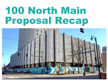## 100 North Main Proposal Recap

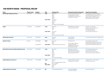## **100 NORTH MAIN - PROPOSAL RECAP**

| <b>Team</b>                                             | <b>Project Lead</b> | <b>Budget</b>                  | <b>Site</b>                           | Program/Use                                                                                                                              | <b>Financial Incentives Required</b>                                                                                                     | <b>Experience Examples</b>                                                                                                                                                                            |
|---------------------------------------------------------|---------------------|--------------------------------|---------------------------------------|------------------------------------------------------------------------------------------------------------------------------------------|------------------------------------------------------------------------------------------------------------------------------------------|-------------------------------------------------------------------------------------------------------------------------------------------------------------------------------------------------------|
| 100 North Main Development Partners                     | Kevin Woods         | \$267,229,353                  | Tower<br><b>Historic Block</b>        | Aptartments<br>Hotel<br>Office<br>Parking<br>Retail<br>Aptartments<br>Courtyard<br>Parking<br>Retail<br>Demo Main St. Historic Buildings | 20-year PILOT (State option for 30)<br>Purchase property for \$10M<br>\$10,000,000 Accelerate Memphis<br>\$14,344,925 to be bonded       | Tennessee Brewery, 495 Tennessee St.<br>Conwood/Snuff District, Uptown Memphis<br>Oliver & Stewart Buildings, 99 S. Front<br>Madison Midtown, 1544 Madison Ave.<br>FedEx Logistics HQ, 145 Lt. GW Lee |
| 18 Main                                                 | Tom Intrator        | \$224,298,394                  | Tower<br><b>Historic Block</b>        | Apartments<br>Office<br>Retail<br>Apartments<br>Parking<br>Retail<br>Reuse exist Historic Main St. Blds.                                 | \$10,000,000 Accelerate Mem.<br>Purchase property for \$5M                                                                               | Desmond's; Los Angeles, CA<br>Broadway Trade; Los Angeles, CA<br>18 S. Main; Memphis, TN<br>107 S. Main; Memphis, TN<br>The Pinch District; Memphis, TN                                               |
|                                                         | Mark Carlson        | \$102,183,935                  |                                       |                                                                                                                                          |                                                                                                                                          |                                                                                                                                                                                                       |
| 100 North Main Partnership                              |                     |                                | <b>Tower</b>                          | Apartments<br>Parking                                                                                                                    | City \$10,000,000<br><b>CCRFC PILOT/TIF</b>                                                                                              | Pre-construction/construction management/GC                                                                                                                                                           |
|                                                         |                     |                                |                                       |                                                                                                                                          |                                                                                                                                          |                                                                                                                                                                                                       |
| <b>Alexander Company</b>                                | Dave Vos            | \$134,400,000<br>None provided | Tower<br><b>Historic Block</b>        | Apartments<br>Office<br>Retail<br>Adaptive Reuse & New construction                                                                      | <b>CCRFC PILOT or TIF</b><br>Home & CDBG Contribution<br>Parking leased to DMA<br>\$10,000,000 Accelerate Mem<br>Purchase tower for \$4M | Printworks Mill; Greensboro, NC<br>Liberty Master Development; Fairfax Co., VA<br>Professional Building Lofts; Kansas City, MO<br>Central Station Hotel (1999); Memphis, TN                           |
|                                                         |                     |                                |                                       |                                                                                                                                          |                                                                                                                                          |                                                                                                                                                                                                       |
| Block Real Estat Services & Sunflower Development Group | Aaron Mesmer        | \$150,000,000                  | Tower<br><b>Historic Block</b>        | Apartments<br>Hotel<br>Office<br>Retail<br>Parking<br>Office<br>Retail<br>Demo Historic Main St. Blds                                    | CCRFC 30-yr PILOT (75%)<br>\$10,000,000 Accelerate Mem<br>Repair, Own & Operate Garage<br>Purchase property for \$100                    | The Equitable; Des Moines, Iowa<br>The Grand; Kansas City, MO<br>46 Penn Centre; Kansas City, MO<br>American Electric Lofts; St. Joseph, MO                                                           |
|                                                         |                     |                                |                                       |                                                                                                                                          |                                                                                                                                          |                                                                                                                                                                                                       |
| Carlisle Development Company, LLC                       | Chance Carlisle     | Up to \$260.8M                 | Tower<br>New<br><b>Historic Block</b> | Education<br>Office<br>Demo existing garage & Main St Blds<br>800+ car garage<br>Apartments<br>Office<br>Retail                          | \$31,615,716 DMA new garage<br>\$14,000,000 Demo exist gar                                                                               | One Beale Phase I - IV; Memphis, TN<br>Hotel Chisca Apartments                                                                                                                                        |
| Douglas Development Corporation                         | Douglas Jemel       | None provided                  | N/A                                   | Only submitted Qualifications                                                                                                            | Contribute Building/land                                                                                                                 | Seneca One; Buffalo, NY                                                                                                                                                                               |
|                                                         |                     |                                |                                       |                                                                                                                                          | 15 yr PILOT - \$10m City                                                                                                                 |                                                                                                                                                                                                       |